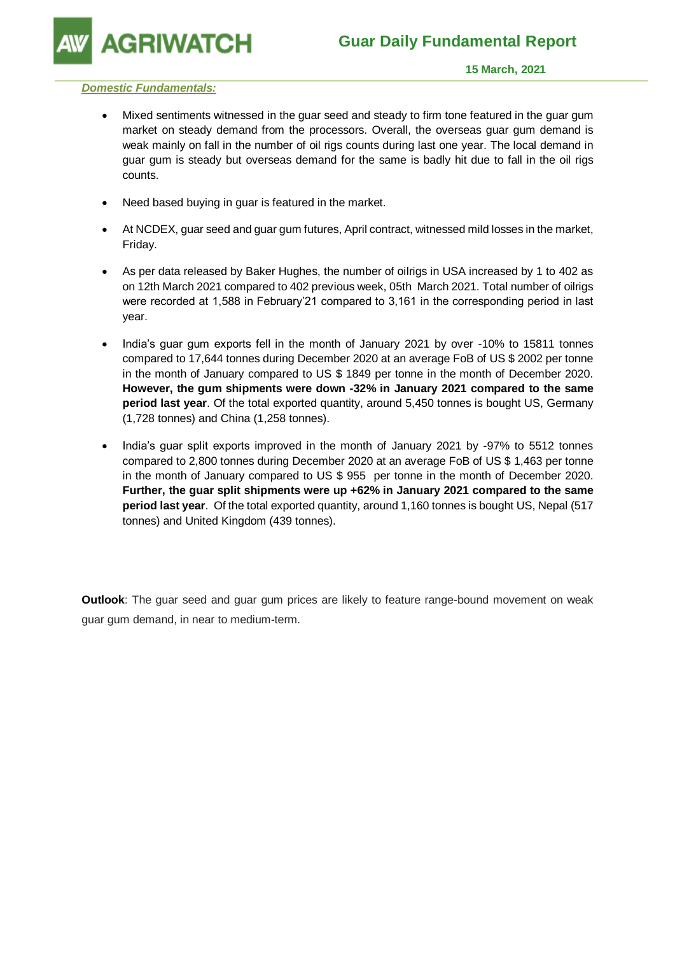**GRIWATCH** 

### *Domestic Fundamentals:*

- Mixed sentiments witnessed in the guar seed and steady to firm tone featured in the guar gum market on steady demand from the processors. Overall, the overseas guar gum demand is weak mainly on fall in the number of oil rigs counts during last one year. The local demand in guar gum is steady but overseas demand for the same is badly hit due to fall in the oil rigs counts.
- Need based buying in guar is featured in the market.
- At NCDEX, guar seed and guar gum futures, April contract, witnessed mild losses in the market, Friday.
- As per data released by Baker Hughes, the number of oilrigs in USA increased by 1 to 402 as on 12th March 2021 compared to 402 previous week, 05th March 2021. Total number of oilrigs were recorded at 1,588 in February'21 compared to 3,161 in the corresponding period in last year.
- India's guar gum exports fell in the month of January 2021 by over -10% to 15811 tonnes compared to 17,644 tonnes during December 2020 at an average FoB of US \$ 2002 per tonne in the month of January compared to US \$ 1849 per tonne in the month of December 2020. **However, the gum shipments were down -32% in January 2021 compared to the same period last year**. Of the total exported quantity, around 5,450 tonnes is bought US, Germany (1,728 tonnes) and China (1,258 tonnes).
- India's guar split exports improved in the month of January 2021 by -97% to 5512 tonnes compared to 2,800 tonnes during December 2020 at an average FoB of US \$ 1,463 per tonne in the month of January compared to US \$ 955 per tonne in the month of December 2020. **Further, the guar split shipments were up +62% in January 2021 compared to the same period last year**. Of the total exported quantity, around 1,160 tonnes is bought US, Nepal (517 tonnes) and United Kingdom (439 tonnes).

**Outlook**: The guar seed and guar gum prices are likely to feature range-bound movement on weak guar gum demand, in near to medium-term.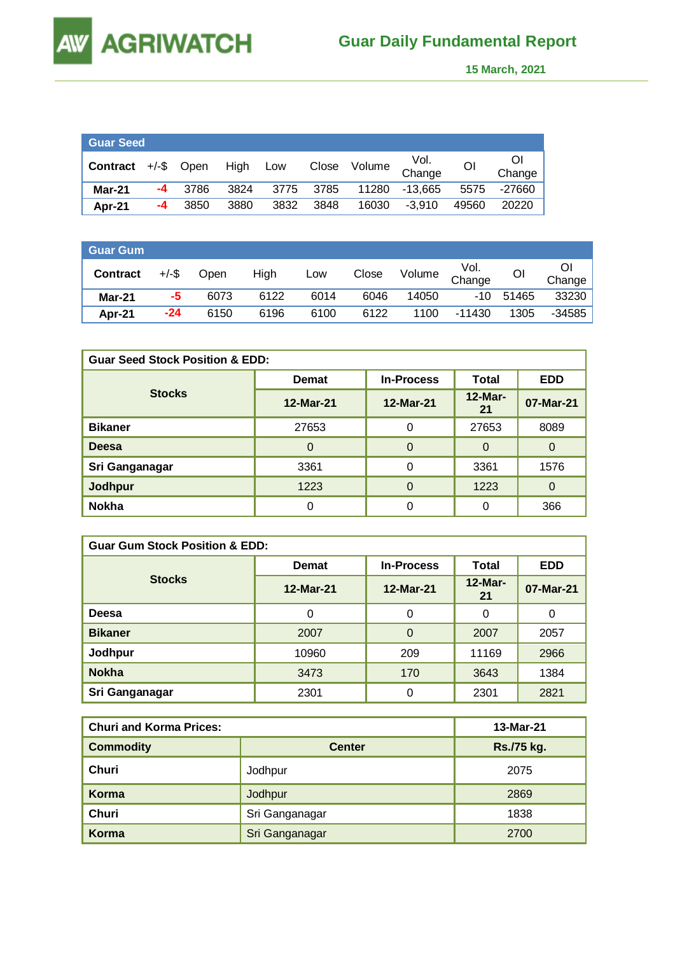**AW** 

 **15 March, 2021** 

| <b>Guar Seed</b> |    |            |      |      |      |              |                |                |              |
|------------------|----|------------|------|------|------|--------------|----------------|----------------|--------------|
| Contract         |    | +/-\$ Open | High | Low  |      | Close Volume | Vol.<br>Change | O <sub>1</sub> | ΟI<br>Change |
| Mar-21           | -4 | 3786       | 3824 | 3775 | 3785 | 11280        | $-13.665$      | 5575           | -27660       |
| Apr-21           | -4 | 3850       | 3880 | 3832 | 3848 | 16030        | $-3.910$       | 49560          | 20220        |

| <b>Guar Gum</b> |          |      |      |      |       |        |                |       | -        |
|-----------------|----------|------|------|------|-------|--------|----------------|-------|----------|
| <b>Contract</b> | $+/-$ \$ | Open | High | Low  | Close | Volume | Vol.<br>Change | Οl    | Change   |
| $Mar-21$        | -5       | 6073 | 6122 | 6014 | 6046  | 14050  | $-10$          | 51465 | 33230    |
| Apr-21          | $-24$    | 6150 | 6196 | 6100 | 6122  | 1100   | $-11430$       | 1305  | $-34585$ |

| <b>Guar Seed Stock Position &amp; EDD:</b> |              |                   |                  |            |  |  |  |
|--------------------------------------------|--------------|-------------------|------------------|------------|--|--|--|
|                                            | <b>Demat</b> | <b>In-Process</b> | <b>Total</b>     | <b>EDD</b> |  |  |  |
| <b>Stocks</b>                              | 12-Mar-21    | 12-Mar-21         | $12$ -Mar-<br>21 | 07-Mar-21  |  |  |  |
| <b>Bikaner</b>                             | 27653        | 0                 | 27653            | 8089       |  |  |  |
| <b>Deesa</b>                               | $\Omega$     | $\Omega$          | $\Omega$         | $\Omega$   |  |  |  |
| Sri Ganganagar                             | 3361         | 0                 | 3361             | 1576       |  |  |  |
| Jodhpur                                    | 1223         | $\Omega$          | 1223             | 0          |  |  |  |
| <b>Nokha</b>                               |              | 0                 |                  | 366        |  |  |  |

| <b>Guar Gum Stock Position &amp; EDD:</b> |              |                   |                  |            |  |  |  |
|-------------------------------------------|--------------|-------------------|------------------|------------|--|--|--|
|                                           | <b>Demat</b> | <b>In-Process</b> | <b>Total</b>     | <b>EDD</b> |  |  |  |
| <b>Stocks</b>                             | 12-Mar-21    | 12-Mar-21         | $12$ -Mar-<br>21 | 07-Mar-21  |  |  |  |
| Deesa                                     | 0            | 0                 | 0                | 0          |  |  |  |
| <b>Bikaner</b>                            | 2007         | $\Omega$          | 2007             | 2057       |  |  |  |
| Jodhpur                                   | 10960        | 209               | 11169            | 2966       |  |  |  |
| <b>Nokha</b>                              | 3473         | 170               | 3643             | 1384       |  |  |  |
| Sri Ganganagar                            | 2301         | 0                 | 2301             | 2821       |  |  |  |

| <b>Churi and Korma Prices:</b> | 13-Mar-21      |            |
|--------------------------------|----------------|------------|
| <b>Commodity</b>               | <b>Center</b>  | Rs./75 kg. |
| Churi                          | Jodhpur        | 2075       |
| Korma                          | Jodhpur        | 2869       |
| Churi                          | Sri Ganganagar | 1838       |
| Korma                          | Sri Ganganagar | 2700       |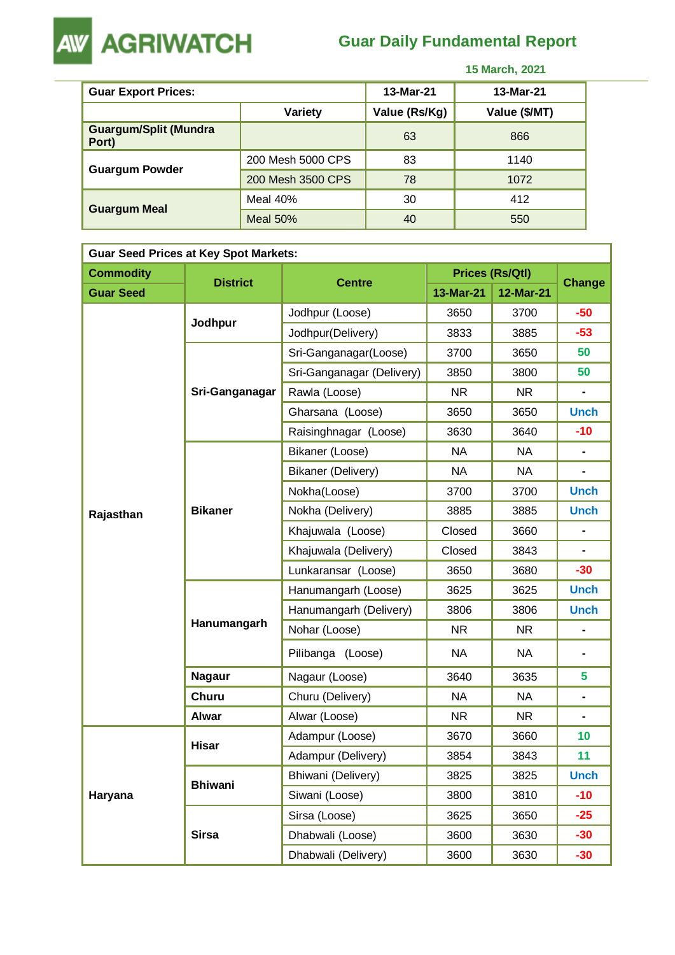

## **Guar Daily Fundamental Report**

 **15 March, 2021** 

| <b>Guar Export Prices:</b>            |                   | 13-Mar-21     | 13-Mar-21     |
|---------------------------------------|-------------------|---------------|---------------|
| Variety                               |                   | Value (Rs/Kg) | Value (\$/MT) |
| <b>Guargum/Split (Mundra</b><br>Port) |                   | 63            | 866           |
| <b>Guargum Powder</b>                 | 200 Mesh 5000 CPS | 83            | 1140          |
|                                       | 200 Mesh 3500 CPS | 78            | 1072          |
| <b>Guargum Meal</b>                   | Meal 40%          | 30            | 412           |
|                                       | Meal 50%          | 40            | 550           |

| <b>Guar Seed Prices at Key Spot Markets:</b> |                 |                           |           |                        |                              |  |  |  |
|----------------------------------------------|-----------------|---------------------------|-----------|------------------------|------------------------------|--|--|--|
| <b>Commodity</b>                             | <b>District</b> | <b>Centre</b>             |           | <b>Prices (Rs/Qtl)</b> | Change                       |  |  |  |
| <b>Guar Seed</b>                             |                 |                           | 13-Mar-21 | 12-Mar-21              |                              |  |  |  |
|                                              | Jodhpur         | Jodhpur (Loose)           | 3650      | 3700                   | $-50$                        |  |  |  |
|                                              |                 | Jodhpur(Delivery)         | 3833      | 3885                   | $-53$                        |  |  |  |
|                                              |                 | Sri-Ganganagar(Loose)     | 3700      | 3650                   | 50                           |  |  |  |
|                                              |                 | Sri-Ganganagar (Delivery) | 3850      | 3800                   | 50                           |  |  |  |
|                                              | Sri-Ganganagar  | Rawla (Loose)             | <b>NR</b> | <b>NR</b>              |                              |  |  |  |
|                                              |                 | Gharsana (Loose)          | 3650      | 3650                   | <b>Unch</b>                  |  |  |  |
|                                              |                 | Raisinghnagar (Loose)     | 3630      | 3640                   | $-10$                        |  |  |  |
|                                              |                 | Bikaner (Loose)           | <b>NA</b> | <b>NA</b>              |                              |  |  |  |
|                                              |                 | Bikaner (Delivery)        | <b>NA</b> | <b>NA</b>              | $\blacksquare$               |  |  |  |
|                                              | <b>Bikaner</b>  | Nokha(Loose)              | 3700      | 3700                   | <b>Unch</b>                  |  |  |  |
| Rajasthan                                    |                 | Nokha (Delivery)          | 3885      | 3885                   | <b>Unch</b>                  |  |  |  |
|                                              |                 | Khajuwala (Loose)         | Closed    | 3660                   | $\qquad \qquad \blacksquare$ |  |  |  |
|                                              |                 | Khajuwala (Delivery)      | Closed    | 3843                   | $\blacksquare$               |  |  |  |
|                                              |                 | Lunkaransar (Loose)       | 3650      | 3680                   | $-30$                        |  |  |  |
|                                              | Hanumangarh     | Hanumangarh (Loose)       | 3625      | 3625                   | <b>Unch</b>                  |  |  |  |
|                                              |                 | Hanumangarh (Delivery)    | 3806      | 3806                   | <b>Unch</b>                  |  |  |  |
|                                              |                 | Nohar (Loose)             | <b>NR</b> | <b>NR</b>              | -                            |  |  |  |
|                                              |                 | Pilibanga (Loose)         | <b>NA</b> | <b>NA</b>              |                              |  |  |  |
|                                              | <b>Nagaur</b>   | Nagaur (Loose)            | 3640      | 3635                   | 5                            |  |  |  |
|                                              | Churu           | Churu (Delivery)          | <b>NA</b> | <b>NA</b>              | $\blacksquare$               |  |  |  |
|                                              | <b>Alwar</b>    | Alwar (Loose)             | <b>NR</b> | NR.                    | -                            |  |  |  |
|                                              | <b>Hisar</b>    | Adampur (Loose)           | 3670      | 3660                   | 10                           |  |  |  |
|                                              |                 | Adampur (Delivery)        | 3854      | 3843                   | 11                           |  |  |  |
|                                              | <b>Bhiwani</b>  | Bhiwani (Delivery)        | 3825      | 3825                   | <b>Unch</b>                  |  |  |  |
| Haryana                                      |                 | Siwani (Loose)            | 3800      | 3810                   | $-10$                        |  |  |  |
|                                              |                 | Sirsa (Loose)             | 3625      | 3650                   | $-25$                        |  |  |  |
|                                              | <b>Sirsa</b>    | Dhabwali (Loose)          | 3600      | 3630                   | $-30$                        |  |  |  |
|                                              |                 | Dhabwali (Delivery)       | 3600      | 3630                   | $-30$                        |  |  |  |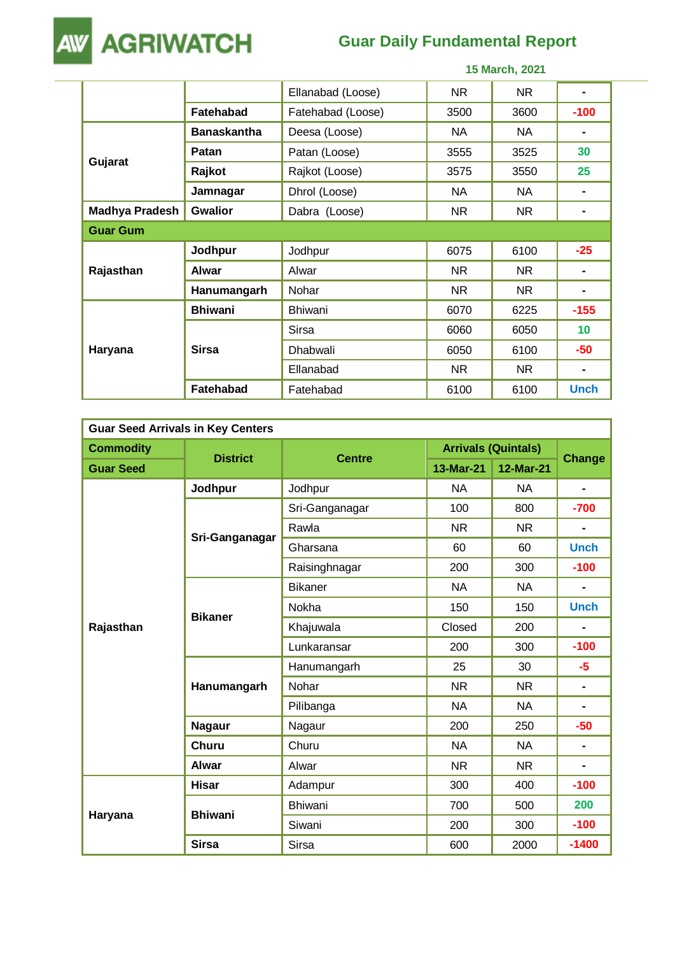**AW AGRIWATCH** 

# **Guar Daily Fundamental Report**

|                       |                    | 15 March, 2021    |      |           |                |  |
|-----------------------|--------------------|-------------------|------|-----------|----------------|--|
|                       |                    | Ellanabad (Loose) | NR   | <b>NR</b> |                |  |
|                       | <b>Fatehabad</b>   | Fatehabad (Loose) | 3500 | 3600      | $-100$         |  |
|                       | <b>Banaskantha</b> | Deesa (Loose)     | NA.  | NA.       |                |  |
| Gujarat               | Patan              | Patan (Loose)     | 3555 | 3525      | 30             |  |
|                       | Rajkot             | Rajkot (Loose)    | 3575 | 3550      | 25             |  |
|                       | Jamnagar           | Dhrol (Loose)     | NA.  | NA.       | $\blacksquare$ |  |
| <b>Madhya Pradesh</b> | <b>Gwalior</b>     | Dabra (Loose)     | NR   | <b>NR</b> |                |  |
| <b>Guar Gum</b>       |                    |                   |      |           |                |  |
|                       | Jodhpur            | Jodhpur           | 6075 | 6100      | $-25$          |  |
| Rajasthan             | <b>Alwar</b>       | Alwar             | NR   | <b>NR</b> |                |  |
|                       | Hanumangarh        | Nohar             | NR   | <b>NR</b> | $\blacksquare$ |  |
|                       | <b>Bhiwani</b>     | <b>Bhiwani</b>    | 6070 | 6225      | $-155$         |  |
|                       |                    | Sirsa             | 6060 | 6050      | 10             |  |
| Haryana               | <b>Sirsa</b>       | Dhabwali          | 6050 | 6100      | $-50$          |  |
|                       |                    | Ellanabad         | NR   | <b>NR</b> | $\blacksquare$ |  |
|                       | <b>Fatehabad</b>   | Fatehabad         | 6100 | 6100      | <b>Unch</b>    |  |

| <b>Guar Seed Arrivals in Key Centers</b> |                 |                |                            |           |                |  |  |
|------------------------------------------|-----------------|----------------|----------------------------|-----------|----------------|--|--|
| <b>Commodity</b>                         |                 |                | <b>Arrivals (Quintals)</b> |           |                |  |  |
| <b>Guar Seed</b>                         | <b>District</b> | <b>Centre</b>  | 13-Mar-21                  | 12-Mar-21 | <b>Change</b>  |  |  |
|                                          | Jodhpur         | Jodhpur        | <b>NA</b>                  | NA.       | $\blacksquare$ |  |  |
|                                          |                 | Sri-Ganganagar | 100                        | 800       | $-700$         |  |  |
|                                          |                 | Rawla          | <b>NR</b>                  | <b>NR</b> |                |  |  |
|                                          | Sri-Ganganagar  | Gharsana       | 60                         | 60        | <b>Unch</b>    |  |  |
|                                          |                 | Raisinghnagar  | 200                        | 300       | $-100$         |  |  |
|                                          |                 | <b>Bikaner</b> | <b>NA</b>                  | NA.       |                |  |  |
|                                          | <b>Bikaner</b>  | Nokha          | 150                        | 150       | <b>Unch</b>    |  |  |
| Rajasthan                                |                 | Khajuwala      | Closed                     | 200       | $\blacksquare$ |  |  |
|                                          |                 | Lunkaransar    | 200                        | 300       | $-100$         |  |  |
|                                          | Hanumangarh     | Hanumangarh    | 25                         | 30        | $-5$           |  |  |
|                                          |                 | Nohar          | <b>NR</b>                  | <b>NR</b> | $\blacksquare$ |  |  |
|                                          |                 | Pilibanga      | <b>NA</b>                  | <b>NA</b> | $\blacksquare$ |  |  |
|                                          | <b>Nagaur</b>   | Nagaur         | 200                        | 250       | $-50$          |  |  |
|                                          | <b>Churu</b>    | Churu          | <b>NA</b>                  | <b>NA</b> | $\blacksquare$ |  |  |
|                                          | <b>Alwar</b>    | Alwar          | <b>NR</b>                  | <b>NR</b> | $\blacksquare$ |  |  |
|                                          | <b>Hisar</b>    | Adampur        | 300                        | 400       | $-100$         |  |  |
|                                          | <b>Bhiwani</b>  | <b>Bhiwani</b> | 700                        | 500       | 200            |  |  |
| Haryana                                  |                 | Siwani         | 200                        | 300       | $-100$         |  |  |
|                                          | <b>Sirsa</b>    | Sirsa          | 600                        | 2000      | $-1400$        |  |  |